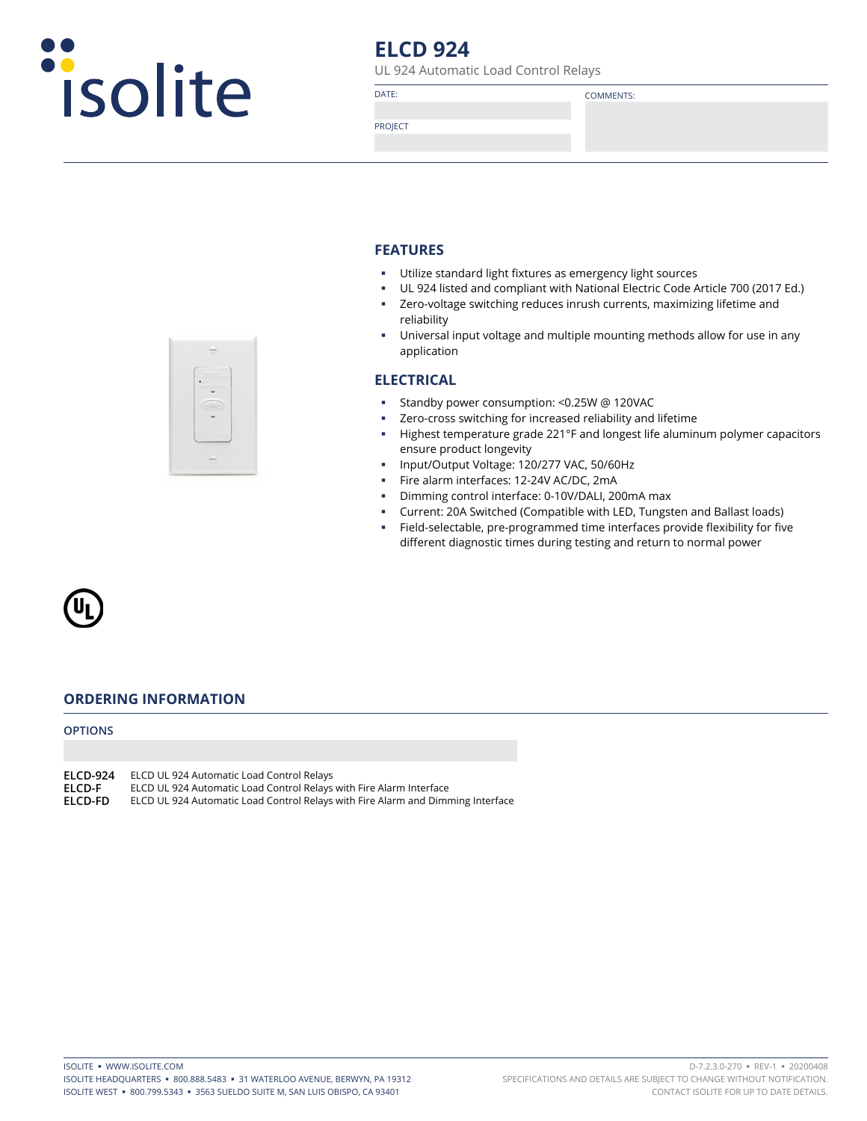

# **ELCD 924**

UL 924 Automatic Load Control Relays

DATE: COMMENTS:

PROJECT

### **FEATURES**

- Utilize standard light fixtures as emergency light sources
- UL 924 listed and compliant with National Electric Code Article 700 (2017 Ed.)
- Zero-voltage switching reduces inrush currents, maximizing lifetime and reliability
- Universal input voltage and multiple mounting methods allow for use in any application

### **ELECTRICAL**

- Standby power consumption: <0.25W @ 120VAC
- Zero-cross switching for increased reliability and lifetime
- Highest temperature grade 221°F and longest life aluminum polymer capacitors ensure product longevity
- **Input/Output Voltage: 120/277 VAC, 50/60Hz**
- Fire alarm interfaces: 12-24V AC/DC, 2mA
- **Dimming control interface: 0-10V/DALI, 200mA max**
- Current: 20A Switched (Compatible with LED, Tungsten and Ballast loads)
- Field-selectable, pre-programmed time interfaces provide flexibility for five different diagnostic times during testing and return to normal power



### **ORDERING INFORMATION**

**OPTIONS**

**ELCD-924** ELCD UL 924 Automatic Load Control Relays

**ELCD-F** ELCD UL 924 Automatic Load Control Relays with Fire Alarm Interface<br>**ELCD-FD** ELCD UL 924 Automatic Load Control Relays with Fire Alarm and Dimr

ELCD UL 924 Automatic Load Control Relays with Fire Alarm and Dimming Interface